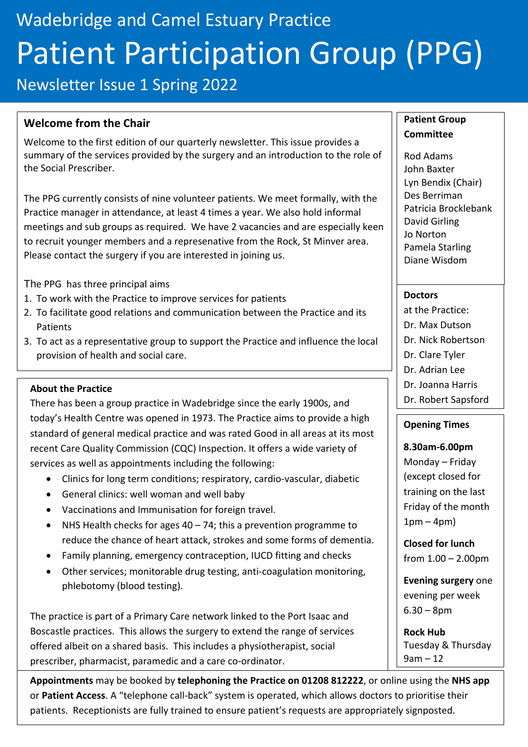# Wadebridge and Camel Estuary Practice Patient Participation Group (PPG)

Newsletter Issue 1 Spring 2022

### **Welcome from the Chair**

Welcome to the first edition of our quarterly newsletter. This issue provides a summary of the services provided by the surgery and an introduction to the role of the Social Prescriber.

The PPG currently consists of nine volunteer patients. We meet formally, with the Practice manager in attendance, at least 4 times a year. We also hold informal meetings and sub groups as required. We have 2 vacancies and are especially keen to recruit younger members and a represenative from the Rock, St Minver area. Please contact the surgery if you are interested in joining us.

The PPG has three principal aims

- 1. To work with the Practice to improve services for patients
- 2. To facilitate good relations and communication between the Practice and its Patients
- 3. To act as a representative group to support the Practice and influence the local provision of health and social care.

#### **About the Practice**

There has been a group practice in Wadebridge since the early 1900s, and today's Health Centre was opened in 1973. The Practice aims to provide a high standard of general medical practice and was rated Good in all areas at its most recent Care Quality Commission (CQC) Inspection. It offers a wide variety of services as well as appointments including the following:

- Clinics for long term conditions; respiratory, cardio-vascular, diabetic
- General clinics: well woman and well baby
- Vaccinations and Immunisation for foreign travel.
- NHS Health checks for ages  $40 74$ ; this a prevention programme to reduce the chance of heart attack, strokes and some forms of dementia.
- Family planning, emergency contraception, IUCD fitting and checks
- Other services; monitorable drug testing, anti-coagulation monitoring, phlebotomy (blood testing).

The practice is part of a Primary Care network linked to the Port Isaac and Boscastle practices. This allows the surgery to extend the range of services offered albeit on a shared basis. This includes a physiotherapist, social prescriber, pharmacist, paramedic and a care co-ordinator.

**Appointments** may be booked by **telephoning the Practice on 01208 812222**, or online using the **NHS app** or **Patient Access**. A "telephone call-back" system is operated, which allows doctors to prioritise their patients. Receptionists are fully trained to ensure patient's requests are appropriately signposted.

#### **Patient Group Committee**

Rod Adams John Baxter Lyn Bendix (Chair) Des Berriman Patricia Brocklebank David Girling Jo Norton Pamela Starling Diane Wisdom

#### **Doctors**

- at the Practice:
- Dr. Max Dutson
- Dr. Nick Robertson
- Dr. Clare Tyler
- Dr. Adrian Lee
- Dr. Joanna Harris Dr. Robert Sapsford

#### **Opening Times**

**8.30am-6.00pm** Monday – Friday (except closed for training on the last Friday of the month  $1pm - 4pm$ )

**Closed for lunch** from 1.00 – 2.00pm

**Evening surgery** one evening per week 6.30 – 8pm

**Rock Hub** Tuesday & Thursday 9am – 12